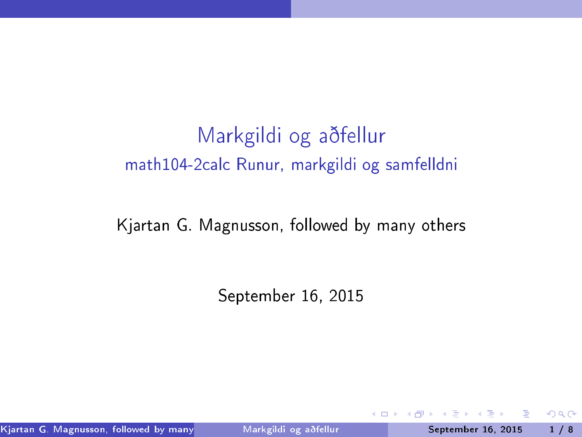Markgildi og aðfellur math104-2calc Runur, markgildi og samfelldni

#### Kjartan G. Magnusson, followed by many others

September 16, 2015

<span id="page-0-0"></span> $298$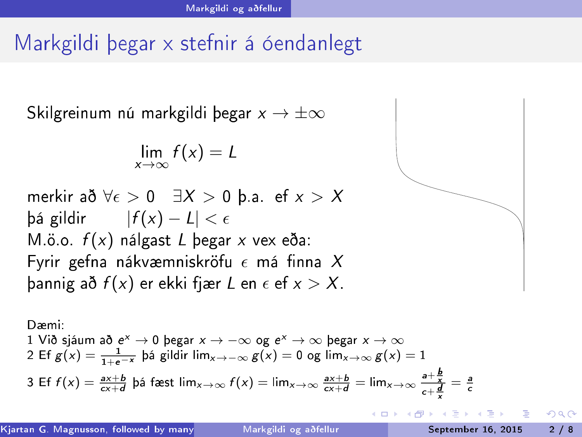# Markgildi þegar x stefnir á óendanlegt

Skilgreinum nú markgildi þegar  $x \to \pm \infty$ 

$$
\lim_{x\to\infty}f(x)=L
$$

merkir að  $\forall \epsilon > 0$  ∃ $X > 0$  þ.a. ef  $x > X$ þá gildir  $|f(x) - L| < \epsilon$ M.ö.o.  $f(x)$  nálgast L begar x vex eða: Fyrir gefna nákvæmniskröfu  $\epsilon$  má finna X þannig að  $f(x)$  er ekki fjær L en  $\epsilon$  ef  $x > X$ .

Dæmi:  
\n1 Við sjáum að e<sup>x</sup> 
$$
\rightarrow
$$
 0 þegar x  $\rightarrow$   $\infty$  og e<sup>x</sup>  $\rightarrow \infty$  þegar x  $\rightarrow \infty$   
\n2 Ef g(x) =  $\frac{1}{1+e^{-x}}$  þá gildir lim<sub>x\rightarrow-\infty</sub> g(x) = 0 og lim<sub>x\rightarrow\infty</sub> g(x) = 1  
\n3 Ef f(x) =  $\frac{ax+b}{cx+d}$  þá fæst lim<sub>x\rightarrow\infty</sub> f(x) = lim<sub>x\rightarrow\infty</sub>  $\frac{ax+b}{cx+d}$  = lim<sub>x\rightarrow\infty</sub>  $\frac{a+\frac{b}{x}}{c+\frac{d}{x}} = \frac{a}{c}$ 



<span id="page-1-0"></span> $QQ$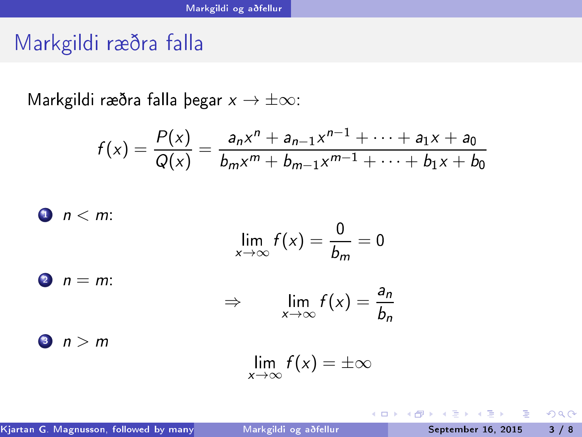## Markgildi ræðra falla

Markgildi ræðra falla þegar  $x \to \pm \infty$ :

$$
f(x) = \frac{P(x)}{Q(x)} = \frac{a_n x^n + a_{n-1} x^{n-1} + \dots + a_1 x + a_0}{b_m x^m + b_{m-1} x^{m-1} + \dots + b_1 x + b_0}
$$

**①** 
$$
n < m
$$
:

\n
$$
\lim_{x \to \infty} f(x) = \frac{0}{b_m} = 0
$$

\n**②**  $n = m$ :

\n
$$
\Rightarrow \lim_{x \to \infty} f(x) = \frac{a_n}{b_n}
$$

\n**③**  $n > m$ 

\n
$$
\lim_{x \to \infty} f(x) = \pm \infty
$$

÷.

<span id="page-2-0"></span> $298$ 

 $(1,1)$   $(1,1)$   $(1,1)$   $(1,1)$   $(1,1)$   $(1,1)$   $(1,1)$   $(1,1)$   $(1,1)$   $(1,1)$   $(1,1)$   $(1,1)$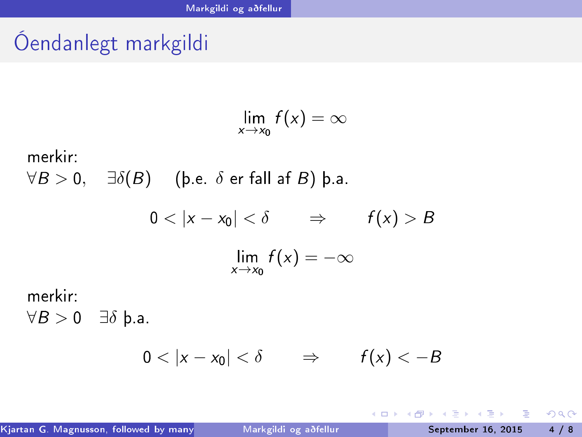# Óendanlegt markgildi

$$
\lim_{x\to x_0}f(x)=\infty
$$

merkir:

 $\forall B > 0$ ,  $\exists \delta(B)$  (b.e.  $\delta$  er fall af B) b.a.  $0 < |x - x_0| < \delta$   $\Rightarrow$   $f(x) > B$  $\lim_{x \to x_0} f(x) = -\infty$ 

 $\forall B > 0$  ∃ $\delta$  þ.a.

 $0 < |x - x_0| < \delta$   $\Rightarrow$   $f(x) < -B$ 

<span id="page-3-0"></span>K ロ > K d > K 글 > K 글 > L 글 → O Q O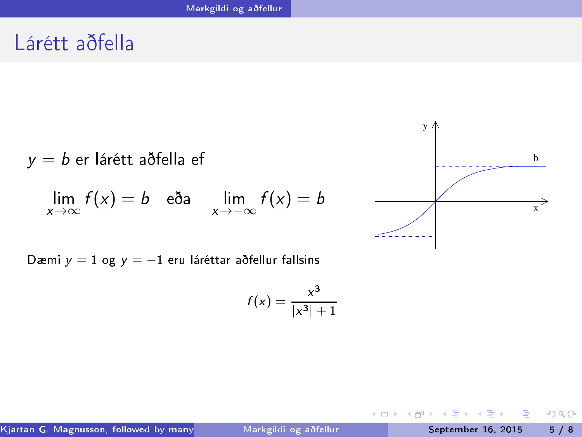## Lárétt aðfella

$$
y = b \text{ er lárétt aðfella ef}
$$
  

$$
\lim_{x \to \infty} f(x) = b \text{ eða } \lim_{x \to -\infty} f(x) = b
$$

Dæmi y = 1 og y = −1 eru láréttar aðfellur fallsins

$$
f(x)=\frac{x^3}{|x^3|+1}
$$



÷,

<span id="page-4-0"></span> $298$ 

キロメ オ部メ オミメ オミメ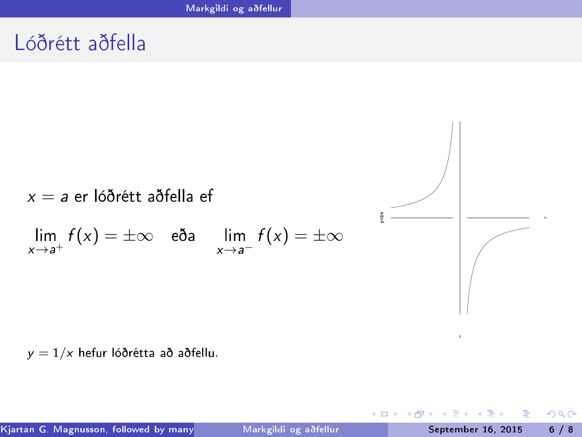### Lóðrétt aðfella



 $y = 1/x$  hefur lóðrétta að aðfellu.

э

<span id="page-5-0"></span> $298$ 

医间隙 医间

s.

4 D F ∢●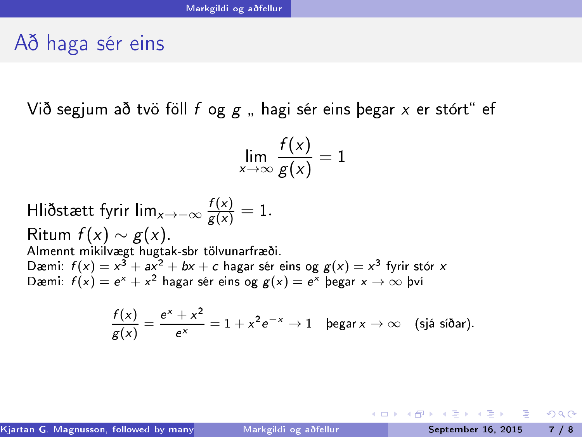#### Að haga sér eins

Við segjum að tvö föll f og  $g$  , hagi sér eins begar x er stórt" ef

$$
\lim_{x \to \infty} \frac{f(x)}{g(x)} = 1
$$

Hliðstætt fyrir lim<sub>x→−∞</sub>  $\frac{f(x)}{g(x)} = 1$ . Ritum  $f(x) \sim g(x)$ . Almennt mikilvægt hugtak-sbr tölvunarfræði. Dæmi:  $f(x) = x^3 + ax^2 + bx + c$  hagar sér eins og  $g(x) = x^3$  fyrir stór x Dæmi:  $f(x) = e^x + x^2$  hagar sér eins og  $g(x) = e^x$  þegar  $x \to \infty$  því

$$
\frac{f(x)}{g(x)} = \frac{e^x + x^2}{e^x} = 1 + x^2 e^{-x} \to 1 \quad \text{þegar } x \to \infty \quad \text{(sjá síðar)}.
$$

Kjartan G. Magnusson, followed by many other [Markgildi](#page-0-0) og aðfellur September 16, 2015 - 7 / 8

<span id="page-6-0"></span> $2980$ 

ミドマミド